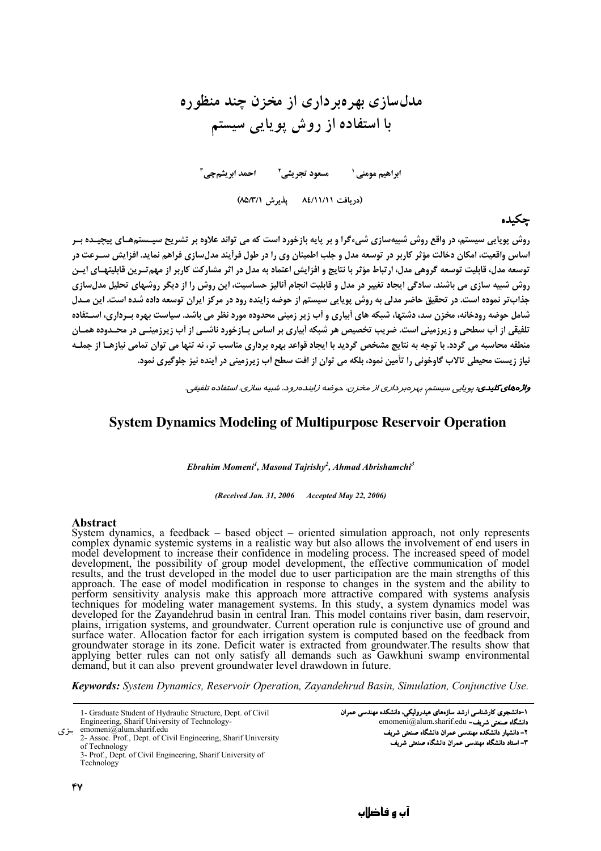# مدلسازی بهروبر داری از مخزن چند منظوره با استفاده از روش پویایی سیستم

(دریافت ۸٤/۱۱/۱۱ یذیرش ۸۵/۳/۱)

حكىدە

روش یوپایی سیستی، در واقع روش شبیهسازی شیءگرا و بر پایه بازخورد است که می تواند علاوه بر تشریح سیـستمهـای پیچیـده بـر اساس واقعیت، امکان دخالت مؤثر کاربر در توسعه مدل و جلب اطمینان وی را در طول فرآیند مدلسازی فراهم نماید. افزایش سـرعت در توسعه مدل، قابلیت توسعه گروهی مدل، ارتباط مؤثر با نتایج و افزایش اعتماد به مدل در اثر مشارکت کاربر از مهم تـرین قابلیتهـای ایـن روش شبیه سازی می باشند. سادگی ایجاد تغییر در مدل و قابلیت انجام آنالیز حساسیت، این روش را از دیگر روشهای تحلیل مدل سازی جذابتر نموده است. در تحقیق حاضر مدلی به روش پویایی سیستم از حوضه زاینده رود در مرکز ایران توسعه داده شده است. این مـدل شامل حوضه رودخانه، مخزن سد، دشتها، شبکه های اَبیاری و اَب زیر زمینی محدوده مورد نظر می باشد. سیاست بهره بـرداری، اسـتفاده تلفیقی از آب سطحی و زیرزمینی است. ضریب تخصیص هر شبکه آبیاری بر اساس ب**ازخورد ناشــی از آب زیرزمینــی در مح**ـدوده همــان منطقه محاسبه می گردد. با توجه به نتایج مشخص گردید با ایجاد قواعد بهره برداری مناسب تر، نه تنها می توان تمامی نیازهـا از جملـه نیاز زیست محیطی تالاب گاوخونی را تأمین نمود، بلکه می توان از افت سطح آب زیرزمینی در آینده نیز جلوگیری نمود.

واژههای کلیدی: پویایی سیستم، بهرهبرداری از مخزن، حوضه زایندهرود، شبیه سازی، استفاده تلفیقی.

### **System Dynamics Modeling of Multipurpose Reservoir Operation**

Ebrahim Momeni<sup>1</sup>, Masoud Tajrishy<sup>2</sup>, Ahmad Abrishamchi<sup>3</sup>

(Received Jan. 31, 2006 Accepted May 22, 2006)

#### **Abstract**

System dynamics, a feedback – based object – oriented simulation approach, not only represents complex dynamic systemic systems in a realistic way but also allows the involvement of end users in model development to increase their confidence in modeling process. The increased speed of model development, the possibility of group model development, the effective communication of model results, and the trust developed in the model due to user participation are the main strengths of this approach. The ease of model modification in response to changes in the system and the ability to<br>approach. The ease of model modification in response to changes in the system and the ability to<br>perform sensitivity analysis plains, irrigation systems, and groundwater. Current operation rule is conjunctive use of ground and surface water. Allocation factor for each irrigation system is computed based on the feedback from<br>groundwater storage in its zone. Deficit water is extracted from groundwater. The results show that applying better rules can not only satisfy all demands such as Gawkhuni swamp environmental demand, but it can also prevent groundwater level drawdown in future.

Keywords: System Dynamics, Reservoir Operation, Zavandehrud Basin, Simulation, Conjunctive Use,

1- Graduate Student of Hydraulic Structure, Dept. of Civil Engineering, Sharif University of Technology-

emomeni@alum.sharif.edu بزى

2- Assoc. Prof., Dept. of Civil Engineering, Sharif University of Technology

3- Prof., Dept. of Civil Engineering, Sharif University of Technology

47

۱–دانشجوی کارشناسی ارشد سازههای هیدرولیکی، دانشکده مهندسی عمران emomeni@alum.sharif.edu -سنعتى شريف ۲– دانشیار دانشکده مهندسی عمران دانشگاه صنعتی شریف ٣- استاد دانشگاه مهندسی عمران دانشگاه صنعتی شریف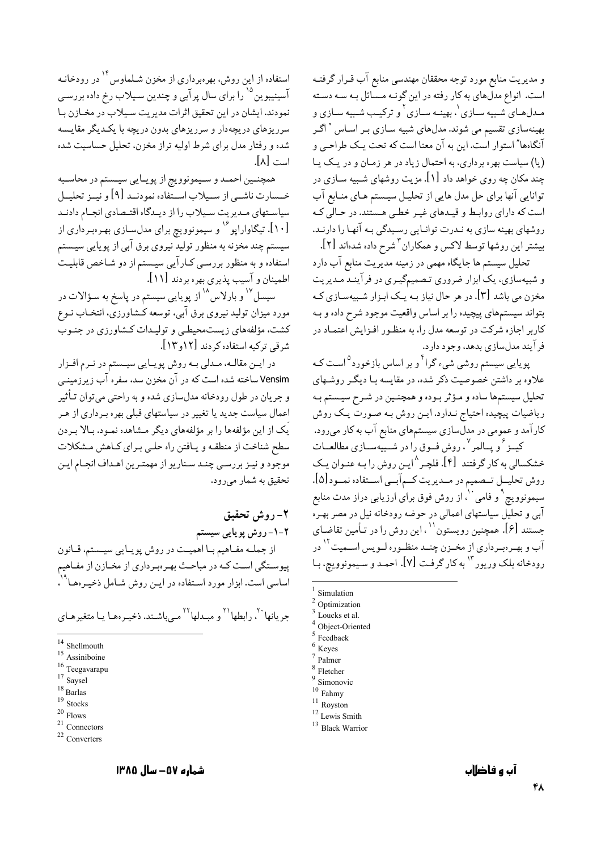و مدیریت منابع مورد توجه محققان مهندسی منابع آب قـرار گرفتـه است. انواع مدلهای به کار رفته در این گونـه مـسائل بـه سـه دسـته مـدلهـاي شـبيه سـازي'، بهينـه سـازي' و تركيـب شـبيه سـازي و بهینهسازی تقسیم می شوند. مدلهای شبیه سـازی بـر اسـاس " اگـر آنگاهها" استوار است. این به آن معنا است که تحت یـک طراحـی و (یا) سیاست بهره برداری، به احتمال زیاد در هر زمـان و در یـک یـا چند مکان چه روی خواهد داد [۱]. مزیت روشهای شـبیه سـازی در ۔<br>توانایی آنها برای حل مدل هایی از تحلیـل سیـستم هـای منـابع آب است که دارای روابط و قیـدهای غیـر خطـی هـستند. در حـالی کـه روشهای بهینه سازی به نـدرت توانـایی رسـیدگی بـه آنهـا را دارنـد. بیشتر این روشها توسط لاکس و همکاران <sup>۳</sup>شرح داده شدهاند [۲].

تحلیل سیستم ها جایگاه مهمی در زمینه مدیریت منابع آب دارد و شبیهسازی، یک ابزار ضروری تصمیمگیـری در فرآینـد مـدیریت مخزن می باشد [۳]. در هر حال نیاز بـه یـک ابـزار شـبیهسـازی کـه بتواند سیستمهای پیچیده را بر اساس واقعیت موجود شرح داده و بـه کاربر اجازه شرکت در توسعه مدل را، به منظـور افـزايش اعتمـاد در فرآيند مدلسازي بدهد، وجود دارد.

پویایی سیستم روشی شیء گرا<sup>۴</sup> و بر اساس بازخورد<sup>۵</sup>است کـه علاوه بر داشتن خصوصیت ذکر شده، در مقایسه بـا دیگـر روشـهای تحلیل سیستمها ساده و مؤثر بوده و همچنـین در شـرح سیـستم بـه ریاضیات پیچیده احتیاج نـدارد. ایـن روش بـه صـورت یـک روش کارآمد و عمومی در مدلسازی سیستمهای منابع آب به کار می رود. کیــز ٔ و پــالمر ْ ، روش فــوق را در شــبیهســازی مطالعــات

خشکسالی به کار گرفتند [۴]. فلچـر^ایـن روش را بـه عنـوان یـک روش تحليــلٍ تــصميم در مــديريت كــم آبــي اســتفاده نمــود [۵]. سیمونوویچ`و فامی``، از روش فوق برای ارزیابی دراز مدت منابع آبي و تحليل سياستهاي اعمالي در حوضه رودخانه نيل در مصر بهـره جستند [۶]. همچنین رویستون `` ، این روش را در تـأمین تقاضـای آب و بهـرهبـرداري از مخــزن چنــد منظـوره لــويس اســميت<sup>۱۲</sup> در رودخانه بلک وریور<sup>۱۳</sup> به کار گرفت [۷]. احمـد و سـیمونوویچ، بـا

- Simulation
- Optimization
- Loucks et al.
- Object-Oriented Feedback

استفاده از این روش، بهرهبرداری از مخزن شـلماوس ۱۴ در رودخانـه آسینیبوین<sup>۱۵</sup> را برای سال پرآبی و چندین سـیلاب رخ داده بررسـی نمودند. ایشان در این تحقیق اثرات مدیریت سیلاب در مخـازن بـا سرریزهای دریچهدار و سرریزهای بدون دریچه با یکـدیگر مقایـسه شده و رفتار مدل برای شرط اولیه تراز مخزن، تحلیل حساسیت شده است [۸].

همچنـین احمـد و سـیمونوویچ از پویـایی سیـستم در محاسـبه خــسارت ناشــي از ســيلاب اســتفاده نمودنــد [۹] و نيــز تحليــل سیاستهای مـدیریت سـیلاب را از دیـدگاه اقتـصادی انجـام دادنـد .<br>[۱۰]. تیگاواراپو<sup>۱۶</sup> و سیمونوویچ برای مدلسـازی بهـرهبـرداری از سیستم چند مخزنه به منظور تولید نیروی برق آبی از پویایی سیـستم استفاده و به منظور بررسـي كـارآيي سيـستم از دو شـاخص قابليـت اطمینان و آسیب پذیری بهره بردند [۱۱].

سیسل<sup>۱۷</sup> و بارلاس<sup>۱۸</sup> از پویایی سیستم در پاسخ به سـؤالات در مورد میزان تولید نیروی برق آبی، توسعه کـشاورزیّ، انتخـاب نـوع کشت، مؤلفههای زیستمحیطی و تولیـدات کـشاورزی در جنـوب شرقي تركيه استفاده كردند [١٢و١٢].

در ايـن مقالـه، مـدلي بـه روش پويـايي سيـستم در نـرم افـزار Vensim ساخته شده است که در آن مخزن سد، سفره آب زیرزمینـی و جريان در طول رودخانه مدلسازي شده و به راحتي مي توان تـأثير اعمال سیاست جدید یا تغییر در سیاستهای قبلی بهره بـرداری از هـر يَک از اين مؤلفهها را بر مؤلفههاي ديگر مـشاهده نمـود. بـالا بـردن سطح شناخت از منطقه و يافتن راه حلبي براي كـاهش مـشكلات موجود و نيـز بررسـي چنـد سـناريو از مهمتـرين اهـداف انجـام ايـن تحقیق به شمار میرود.

٢- روش تحقيق ۲-۱-روش پویایی سیستم از جملـه مفـاهيم بـا اهميـت در روش پويـايي سيـستم، قـانون پیوستگی است کـه در مباحـث بهـرهبـرداری از مخـازن از مفـاهیم

اساسی است. ابزار مورد اسـتفاده در ایـن روش شـامل ذخیـرهـا<sup>۱۹</sup>۰

حر مانعا<sup>۲۰</sup>، رابطها<sup>۲۷</sup> و میدلها<sup>۲۲</sup> میے باشیند. ذخیبر دهیا بیا متغیر هیای

Keves

Palmer

Fletcher

Simonovic

 $10$  Fahmy

 $11$  Royston

 $12$  Lewis Smith

<sup>&</sup>lt;sup>13</sup> Black Warrior

 $14$  Shellmouth

 $15$  Assiniboine

 $^{16}$ Teegavarapu

 $^{\rm 17}$  Saysel

 $^{\rm 18}$  Barlas

 $^{19}$  Stocks

 $^\mathrm{20}$  Flows

 $21$  Connectors

 $22$  Converters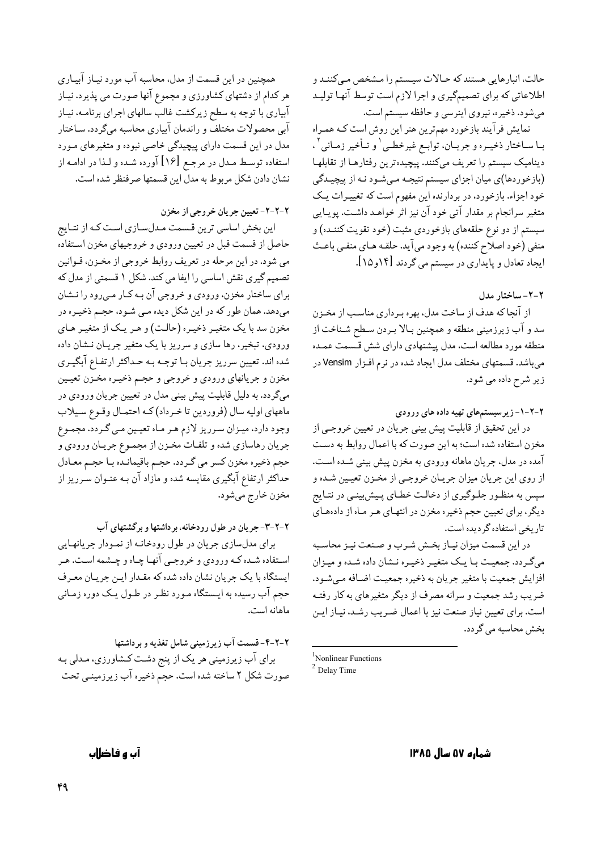حالت، انبارهایی هستند که حـالات سیـستم را مـشخص مـیکننـد و اطلاعاتی که برای تصمیمگیری و اجرا لازم است توسط آنها تولیـد میشود. ذخیره، نیروی اینرسی و حافظه سیستم است.

نمایش فرآیند بازخورد مهمترین هنر این روش است کـه همـراه بـا سـاختار ذخيـره و جريــان، توابــع غيرخطـي ٰ و تــأخير زمــاني ْ ، دینامیک سیستم را تعریف میکنند. پیچیدهترین رفتارهـا از تقابلهـا (بازخوردها)ی میان اجزای سیستم نتیجه میشود نـه از پیچیـدگی خود اجزاء. بازخورد، در بردارنده این مفهوم است که تغییـرات یـک متغیر سرانجام بر مقدار آتی خود آن نیز اثر خواهـد داشـت. پویـایی سیستم از دو نوع حلقههای بازخوردی مثبت (خود تقویت کننــده) و منفي (خود اصلاح كننده) به وجود مي آيد. حلقـه هـاي منفـي باعـث ایجاد تعادل و پایداری در سیستم می گردند [۱۴و۱۵].

#### ٢-٢- ساختار مدل

از آنجا که هدف از ساخت مدل، بهره بـرداري مناسـب از مخـزن سد و آب زيرزميني منطقه و همچنين بـالا بـردن سـطح شـناخت از منطقه مورد مطالعه است، مدل پیشنهادی دارای شش قسمت عمـده میباشد. قسمتهای مختلف مدل ایجاد شده در نرم افـزار Vensim در زیر شرح داده می شود.

۲-۲-۱-زیرسیستمهای تهیه داده های ورودی

در این تحقیق از قابلیت پیش بینی جریان در تعیین خروجبی از مخزن استفاده شده است؛ به این صورت که با اعمال روابط به دست آمده در مدل، جريان ماهانه ورودي به مخزن پيش بيني شـده اسـت. از روی این جریان میزان جریـان خروجـي از مخـزن تعيـين شـده و سپس به منظور جلـوگیری از دخالـت خطـای پـیش بینـی در نتـایج دیگر، برای تعیین حجم ذخیره مخزن در انتهای هـر مـاه از دادههـای تاریخی استفاده گردیده است.

در این قسمت میزان نیـاز بخـش شـرب و صـنعت نیـز محاسـبه میگردد. جمعیت با یک متغیر ذخیره نشان داده شده و میزان افزايش جمعيت با متغير جريان به ذخيره جمعيت اضافه مي شـود. ضریب رشد جمعیت و سرانه مصرف از دیگر متغیرهای به کار رفتـه است. براي تعيين نياز صنعت نيز با اعمال ضريب رشد، نيـاز ايـن بخش محاسبه می گر دد.

همچنین در این قسمت از مدل، محاسبه آب مورد نیـاز آبیـاری هر کدام از دشتهای کشاورزی و مجموع آنها صورت می پذیرد. نیـاز آبیاری با توجه به سطح زیرکشت غالب سالهای اجرای برنامـه، نیـاز آبی محصولات مختلف و راندمان آبیاری محاسبه میگردد. سـاختار مدل در این قسمت دارای پیچیدگی خاصی نبوده و متغیرهای مـورد استفاده توسط مـدل در مرجـع [۱۶] آورده شـده و لـذا در ادامـه از نشان دادن شكل مربوط به مدل اين قسمتها صرفنظر شده است.

٢-٢-٢- تعيين جريان خروجي از مخزن

این بخش اساسی ترین قـسمت مـدلسـازی اسـت کـه از نتـایج حاصل از قسمت قبل در تعیین ورودی و خروجیهای مخزن استفاده می شود. در این مرحله در تعریف روابط خروجی از مخـزن، قـوانین تصمیم گیری نقش اساسی را ایفا می کند. شکل ۱ قسمتی از مدل که برای ساختار مخزن، ورودی و خروجی آن بـه کـار مـی٫ود را نــشان میدهد. همان طور که در این شکل دیده مـی شـود، حجـم ذخیـره در مخزن سد با یک متغیـر ذخیـره (حالـت) و هـر یـک از متغیـر هـاي ورودی، تبخیر، رها سازی و سرریز با یک متغیر جریـان نــشان داده شده اند. تعیین سرریز جریان بـا توجـه بـه حـداکثر ارتفـاع آبگیـري مخزن و جریانهای ورودی و خروجی و حجـم ذخیـره مخـزن تعیـین میگردد. به دلیل قابلیت پیش بینی مدل در تعیین جریان ورودی در ماههاي اوليه سال (فروردين تا خرداد)كه احتمـال وقـوع سـيلاب وجود دارد، میـزان سـرریز لازم هـر مـاه تعیـین مـي گـردد. مجمـوع جريان رهاسازي شده و تلفـات مخـزن از مجمـوع جريـان ورودي و حجم ذخیره مخزن کسر می گـردد. حجـم باقیمانـده بـا حجـم معـادل حداکثر ارتفاع آبگیری مقایسه شده و مازاد آن بـه عنـوان سـرریز از مخزن خارج مي شود.

۲-۲-۳- جریان در طول رودخانه، برداشتها و برگشتهای آب

برای مدلسازی جریان در طول رودخانـه از نمـودار جریانهـایی استفاده شـده کـه ورودي و خروجـي آنهـا چـاه و چـشمه اسـت. هـر ایستگاه با یک جریان نشان داده شده که مقـدار ایـن جریـان معـرف حجم آب رسیده به ایـستگاه مـورد نظـر در طـول یـک دوره زمـاني ماهانه است.

۲-۲-۴- قسمت آب زیرزمینی شامل تغذیه و برداشتها برای آب زیرزمینی هر یک از پنج دشت کشاورزی، مـدلی بـه صورت شكل ٢ ساخته شده است. حجم ذخيره آب زيرزمينـي تحت

شماره ۵۷ سال ۱۳۸۵

آب و فاضلاب

<sup>&</sup>lt;sup>1</sup>Nonlinear Functions  $2$  Delay Time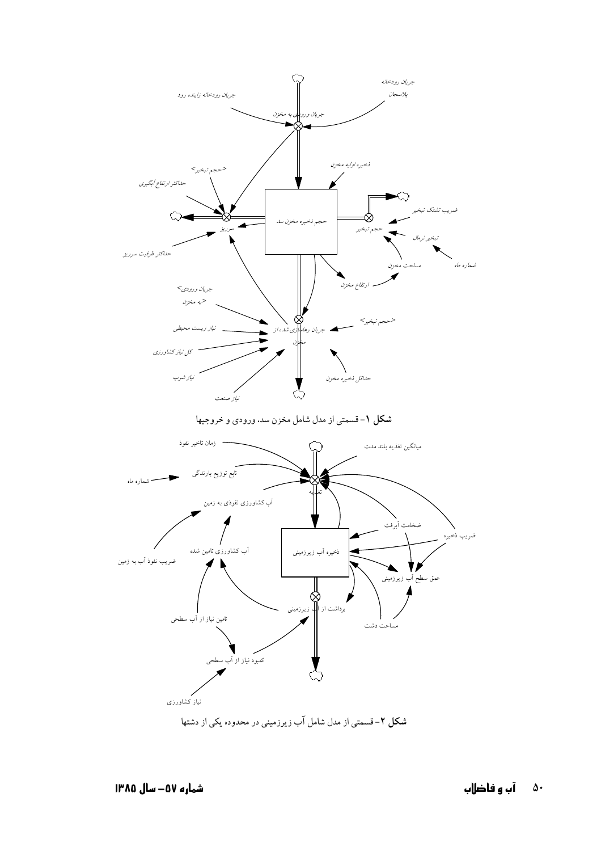

شکل ۲- قسمتی از مدل شامل آب زیرزمینی در محدوده یکی از دشتها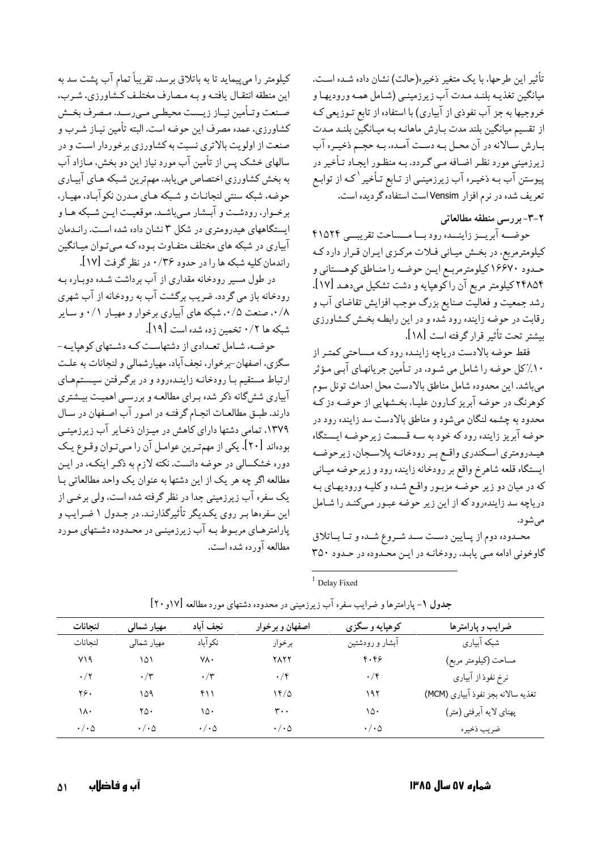تأثير اين طرحها، با يک متغير ذخيره(حالت) نشان داده شـده اسـت. ميانگين تغذيـه بلنـد مـدت آب زيرزمينـي (شـامل همـه وروديهـا و خروجیها به جز آب نفوذی از آبیاری) با استفاده از تابع تـوزیعی کـه از تقسیم میانگین بلند مدت بـارش ماهانـه بـه میـانگیّن بلنـد مـدت بـارش سـالانه در آن محـل بـه دسـت آمـده، بـه حجـم ذخيـره آب زیرزمینی مورد نظر اضافه مـی گـردد. بـه منظـور ایجـاد تـأخیر در پیوستن آب بـه ذخیـره آب زیرزمینـی از تـابع تـأخیر <sup>\</sup>کـه از توابـع تعریف شده در نرم افزار Vensim است استفاده گردیده است.

## ۲-۳-بررسی منطقه مطالعاتی

حوضــه آبريــز زاينــده رود بــا مــساحت تقريبــي ۴۱۵۲۴ کیلومترمربع، در بخش میـانی فـلات مرکـزی ایـران قـرار دارد کـه حـدود ۱۶۶۷۰ کیلومترمربـع ایـن حوضـه را منـاطق کوهـستاني و ۲۴۸۵۴ کیلومتر مربع آن راکوهپایه و دشت تشکیل میدهـد [۱۷]. رشد جمعیت و فعالیت صنایع بزرگ موجب افزایش تقاضای آب و رقابت در حوضه زاینده رود شده و در این رابطه بخش کشاورزی بيشتر تحت تأثير قرار گرفته است [١٨].

فقط حوضه بالادست درياچه زاينـده رودكـه مـساحتى كمتـر از ۱۰٪کل حوضه را شامل می شـود، در تـأمین جریانهـای آبـی مـؤثر مىباشد. اين محدوده شامل مناطق بالادست محل احداث تونل سوم کوهرنگ در حوضه آبریز کـارون علیـا، بخـشهایی از حوضـه دز کـه محدود به چشمه لنگان میشود و مناطق بالادست سد زاینده رود در حوضه آبریز زاینده رودكه خود به سـه قـسمت زیرحوضـه ایـستگاه هیـدرومتري اسـكندري واقـع بـر رودخانـه پلاسـجان، زيرحوضـه ايستگاه قلعه شاهرخ واقع بر رودخانه زاينده رود و زيرحوضه ميـاني که در میان دو زیر حوضـه مزبـور واقـع شـده و کلیـه ورودیهـای بـه دریاچه سد زایندهرود که از این زیر حوضه عبـور مـیکنـد را شـامل می شو د.

محمدوده دوم از پایین دست سـد شـروع شـده و تـا بـاتلاق گاوخونی ادامه مبی پابد. رودخانـه در ایـن محـدوده در حـدود ۳۵۰

 $1$  Delay Fixed

| لنحانات         | مهيار شمالى            | نجف آباد             | اصفهان و برخوار        | کوهپایه و سگزی  | ضرایب و پارامترها                  |
|-----------------|------------------------|----------------------|------------------------|-----------------|------------------------------------|
| لنحانات         | مهيار شمالي            | نكوآباد              | برخوار                 | آبشار و رودشتین | شبکه آبیاری                        |
| ۷۱۹             | ۱۵۱                    | ٧λ٠                  | ۲۸۲۲                   | F. F9           | مساحت (كيلومتر مربع)               |
| $\cdot/7$       | $\cdot$ /۳             | $\cdot/\tau$         | $\cdot$ /۴             | $\cdot$ /۴      | نرخ نفوذ از آبیاری                 |
| ۲۶.             | ۱۵۹                    | ۴۱۱                  | 14/0                   | ۱۹۲             | تغذيه سالانه بجز نفوذ آبياري (MCM) |
| ۱۸۰             | ۲۵۰                    | ۱۵۰                  | ۳۰۰                    | ۱۵۰             | پهناي لايه آبرفتي (متر)            |
| $\cdot/\cdot$ ۵ | $\cdot / \cdot \Delta$ | $\cdot/\cdot \Delta$ | $\cdot / \cdot \Delta$ | $\cdot/\cdot$ ۵ | ضريب ذخيره                         |

| جدول ۱- پارامترها و ضرایب سفره آب زیرزمینی در محدوده دشتهای مورد مطالعه [۱۷و۲۰] |  |
|---------------------------------------------------------------------------------|--|
|                                                                                 |  |

مطالعه آورده شده است.

کیلومتر را میپیماید تا به باتلاق برسد. تقریباً تمام آب پشت سد به

این منطقه انتقال یافتـه و بـه مـصارف مختلـف کـشاورزي، شـرب،

صـنعت وتـأمين نيـاز زيــست محيطـي مـيرسـد. مـصرف بخـش

كشاورزي، عمده مصرف اين حوضه است. البته تأمين نيـاز شـرب و

صنعت از اولویت بالاتری نسبت به کشاورزی برخوردار است و در سالهای خشک پس از تأمین آب مورد نیاز این دو بخش، مـازاد آب

به بخش کشاورزی اختصاص می یابد. مهمترین شـبکه هـای آبیـاری حوضه، شبکه سنتي لنجانـات و شـبکه هـاي مـدرن نکوآبـاد، مهيـار،

برخـوار، رودشـت و آبـشار مـىباشـد. موقعيـت ايـن شـبكه هـا و

ایستگاههای هیدرومتری در شکل ۳ نشان داده شده است. رانـدمان

آبیاری در شبکه های مختلف متفـاوت بـوده کـه مـیتـوان میـانگین

رودخانه باز می گردد. ضریب برگشت آب به رودخانه از آب شهری

۰/۸، صنعت ۰/۵، شبکه های آبیاری برخوار و مهیـار ۰/۱ و سـایر

سگزی، اصفهان-برخوار، نجف آباد، مهیارشمالی و لنجانات به علت

ارتباط مستقیم بـا رودخانـه زاینـدهرود و در برگـرفتن سیـستمهـای

آبیاری شش گانه ذکر شده بـرای مطالعـه و بررسـی اهمیـت بیـشتری

دارند. طبـق مطالعـات انجـام گرفتـه در امـور آب اصـفهان در سـال

۱۳۷۹، تمامی دشتها دارای کاهش در میزان ذخـایر آب زیرزمینـی

بودهاند [۲۰]. یکی از مهمترین عوامل آن را میتوان وقـوع یـک

دوره خشکسالی در حوضه دانست. نکته لازم به ذکـر اینکـه، در ایـن

مطالعه اگر چه هر يک از اين دشتها به عنوان يک واحد مطالعاتي بـا

یک سفره آب زیرزمینی جدا در نظر گرفته شده است، ولی برخـی از

این سفرهها بـر روی یکـدیگر تأثیرگذارنـد. در جـدول ۱ ضـرایب و

پارامترهـاي مربـوط بـه آب زيرزمينـي در محـدوده دشـتهاي مـورد

حوضه، شـامل تعـدادي از دشتهاسـت كـه دشـتهاي كوهپايـه-

در طول مسیر رودخانه مقداری از آب برداشت شـده دوبـاره بـه

راندمان کلیه شبکه ها را در حدود ۰/۳۶ در نظر گرفت [۱۷].

شبكه ها ۰/۲ تخمین زده شده است [۱۹].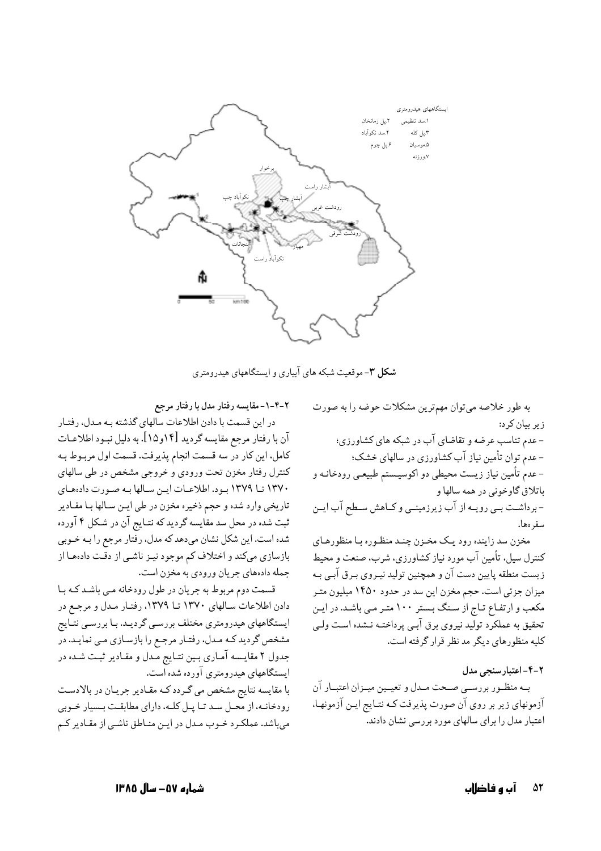

شکل ۳-موقعیت شبکه های آبیاری و ایستگاههای هیدرومتری

۲-۴-۱- مقایسه رفتار مدل با رفتار مرجع در این قسمت با دادن اطلاعات سالهای گذشته بـه مـدل، رفتـار آن با رفتار مرجع مقايسه گرديد [١۴و١٥]. به دليل نبـود اطلاعـات كامل، اين كار در سه قسمت انجام پذيرفت. قسمت اول مربـوط بـه كنترل رفتار مخزن تحت ورودي و خروجي مشخص در طي سالهاي ١٣٧٠ تا ١٣٧٩ بود. اطلاعات اين سالها به صورت دادههاي تاريخي وارد شده و حجم ذخيره مخزن در طي ايـن سـالها بـا مقـادير ثبت شده در محل سد مقايسه گرديد كه نتـايج آن در شـكل ۴ آورده شده است. این شکل نشان میدهد که مدل، رفتار مرجع را بـه خـوبی بازسازی میکند و اختلاف کم موجود نیـز ناشـی از دقـت دادهمـا از جمله دادههای جریان ورودی به مخزن است.

قسمت دوم مربوط به جريان در طول رودخانه ميي باشد كـه بـا دادن اطلاعات سالهای ۱۳۷۰ تا ۱۳۷۹، رفتار مدل و مرجع در ایستگاههای هیدرومتری مختلف بررسبی گردیـد. بـا بررسـی نتـایج مشخص گردید کـه مـدل، رفتـار مرجـع را بازسـازي مـي نمايـد. در جدول ۲ مقایسه آماری بین نتایج مدل و مقادیر ثبت شده در ایستگاههای هیدرومتری آورده شده است. با مقايسه نتايج مشخص مي گردد كـه مقـادير جريـان در بالادسـت

رودخانـه، از محـل سـد تـا يـل كلـه، داراي مطابقـت بـسيار خـوبي می باشد. عملکرد خـوب مـدل در ایـن منـاطق ناشـی از مقـادیر کـم به طور خلاصه میتوان مهمترین مشکلات حوضه را به صورت ز پر بیان کر د: - عدم تناسب عرضه و تقاضای آب در شبکه های کشاورزی؛ - عدم توان تأمین نیاز آب کشاورزی در سالهای خشک؛ - عدم تأمین نیاز زیست محیطی دو اکوسیـستم طبیعـی رودخانـه و باتلاق گاوخوني در همه سالها و - برداشـت بـی رویـه از آب زیرزمینـی و کـاهش سـطح آب ایـن سفر ەھا. مخزن سد زاینده رود یک مخـزن چنـد منظـوره بـا منظورهـاي

کنترل سیل، تأمین آب مورد نیاز کشاورزی، شرب، صنعت و محیط زیست منطقه پایین دست آن و همچنین تولید نیـروی بـرق آبـی بـه ميزان جزئي است. حجم مخزن اين سد در حدود ١۴۵٠ ميليون متـر مکعب و ارتفاع تـاج از سـنگ بـستر ۱۰۰ متـر مـى باشـد. در ايـن تحقیق به عملکرد تولید نیروی برق آبـی پرداختـه نـشده اسـت ولـی کلیه منظورهای دیگر مدنظر قرار گرفته است.

۲-۴-اعتبار سنجی مدل بـه منظـور بررسـي صـحت مـدل و تعيــين ميــزان اعتبــار آن آزمونهای زیر بر روی آن صورت پذیرفت کـه نتـایج ایـن آزمونهـا، اعتبار مدل را برای سالهای مورد بررسی نشان دادند.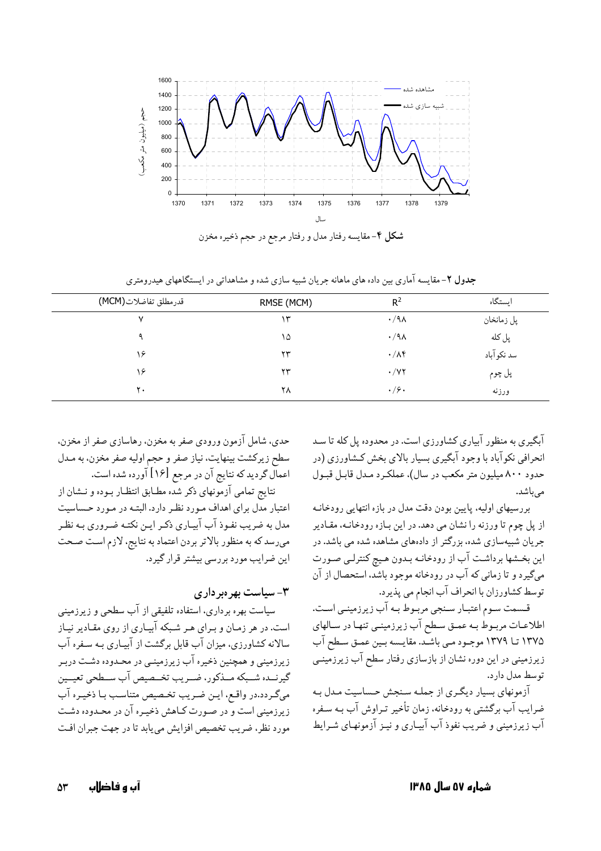

| . →                  | $\sim$<br>--<br>. | $\tilde{\phantom{a}}$<br><u>.</u><br>$\bullet$ | ---         |
|----------------------|-------------------|------------------------------------------------|-------------|
| قدرمطلق تفاضلات(MCM) | RMSE (MCM)        | $R^2$                                          | استگاه      |
|                      | ٣                 | $\cdot$ /9 $\wedge$                            | پل زمانخان  |
|                      | ۱۵                | $\cdot$ /9 $\wedge$                            | پل کله      |
|                      | 23                | $\cdot/\lambda f$                              | سد نکو آباد |

 $\tau\tau$ 

٢٨

جدول ۲- مقایسه آماری بین داده های ماهانه جریان شبیه سازی شده و مشاهداتی در ایستگاههای هیدرومتری

آبگیری به منظور آبیاری کشاورزی است. در محدوده پل کله تا سـد انحرافي نکوآباد با وجود آبگيري بسيار بالاي بخش کـشاورزي (در حدود ۸۰۰ میلیون متر مکعب در سال)، عملکرد مـدل قابـل قبـول مى باشد.

پل چوم

ورزنه

 $\cdot$  /  $\vee$   $\vee$ 

 $.79.$ 

بررسیهای اولیه، پایین بودن دقت مدل در بازه انتهایی رودخانـه از پل چوم تا ورزنه را نشان می دهد. در این بازه رودخانـه، مقـادیر جریان شبیهسازی شده، بزرگتر از دادههای مشاهده شده می باشد. در این بخـشها برداشـت آب از رودخانـه بـدون هـیچ کنترلـی صـورت میگیرد و تا زمانی که آب در رودخانه موجود باشد، استحصال از آن توسط كشاورزان با انحراف آب انجام مي پذيرد.

قـسمت سـوم اعتبـار سـنجي مربـوط بـه آب زيرزمينـي اسـت. اطلاعـات مربـوط بـه عمـق سـطح آب زيرزمينـي تنهـا در سـالهاي ١٣٧٥ تا ١٣٧٩ موجـود مـي باشـد. مقايـسه بـين عمـق سـطح آب زیرزمینی در این دوره نشان از بازسازی رفتار سطح آب زیرزمینـی توسط مدل دارد.

آزمونهای بسیار دیگری از جمله سنجش حساسیت مدل به ضرایب آب برگشتبی به رودخانه، زمان تأخیر تـراوش آب بـه سـفره آب زیرزمینی و ضریب نفوذ آب آبیـاری و نیـز آزمونهـای شـرایط

حدي، شامل آزمون ورودي صفر به مخزن، رهاسازي صفر از مخزن. سطح زيركشت بينهايت، نياز صفر و حجم اوليه صفر مخزن، به مـدل اعمال گردید که نتایج آن در مرجع [۱۶] آورده شده است.

۱۶

 $\mathsf{r}$ .

نتايج تمامي آزمونهاي ذكر شده مطـابق انتظـار بـوده و نـشان از اعتبار مدل برای اهداف مـورد نظـر دارد. البتـه در مـورد حـساسيت مدل به ضریب نفـوذ آب آبیـاری ذکـر ایـن نکتـه ضـروری بـه نظـر میرسد که به منظور بالاتر بردن اعتماد به نتایج، لازم است صحت این ضرایب مورد بررسی بیشتر قرار گیرد.

۳- سیاست بهرهبرداری

سیاست بهره برداری، استفاده تلفیقی از آب سطحی و زیرزمینی است. در هر زمـان و بـرای هـر شـبکه آبيـاری از روی مقـادير نيـاز سالانه کشاورزی، میزان آب قابل برگشت از آبیـاری بـه سـفره آب زیرزمینی و همچنین ذخیره آب زیرزمینـی در محـدوده دشـت دربـر گيرنــده شــبكه مــذكور، ضــريب تخــصيص آب ســطحي تعيــين مىگردد.در واقع، ايـن ضـريب تخـصيص متناسـب بـا ذخيـره آب زیرزمینی است و در صورت کـاهش ذخیـره آن در محـدوده دشـت مورد نظر، ضريب تخصيص افزايش مي يابد تا در جهت جبران افت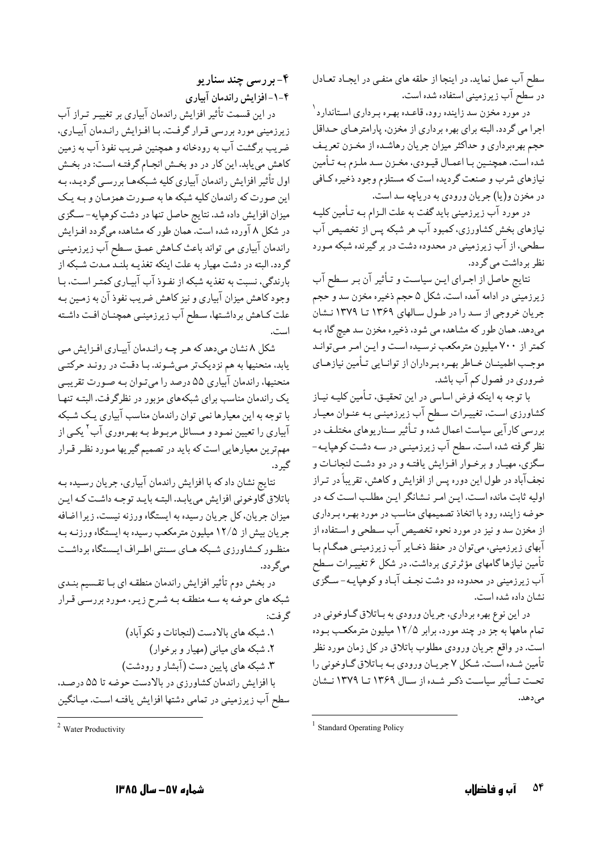سطح آب عمل نماید. در اینجا از حلقه های منفـی در ایجـاد تعـادل در سطح آب زیرزمینی استفاده شده است.

در مورد مخزن سد زاینده رود، قاعـده بهـره بـرداری اسـتاندارد <sup>۱</sup> اجرا مي گردد. البته براي بهره برداري از مخزن، پارامترهـاي حـداقل حجم بهرهبرداري و حداكثر ميزان جريان رهاشـده از مخـزن تعريـف شده است. همچنـین بـا اعمـال قیـودي، مخـزن سـد ملـزم بـه تـأمین نیازهای شرب و صنعت گردیده است که مستلزم وجود ذخیره کـافي در مخزن و(يا) جريان ورودي به درياچه سد است.

در مورد آب زیرزمینی باید گفت به علت الـزام بـه تـأمین کلیـه نیازهای بخش کشاورزی، کمبود آب هر شبکه پس از تخصیص آب سطحی، از آب زیرزمینی در محدوده دشت در بر گیرنده شبکه مـورد نظر برداشت مي گردد.

نتايج حاصل از اجـراي ايــن سياسـت و تـأثير آن بـر سـطح آب زیرزمینی در ادامه آمده است. شکل ۵ حجم ذخیره مخزن سد و حجم جریان خروجی از سد را در طول سالهای ۱۳۶۹ تا ۱۳۷۹ نشان میدهد. همان طور که مشاهده می شود، ذخیره مخزن سد هیچ گاه بـه کمتر از ۷۰۰ میلیون مترمکعب نرسیده است و این امر میتواند موجب اطمینـان خـاطر بهـره بـرداران از توانـایی تـأمین نیازهـای ضروري در فصول كم آب باشد.

با توجه به اینکه فرض اساسی در این تحقیـق، تـأمین کلیـه نیـاز کشاورزی است، تغییـرات سـطح آب زیرزمینـی بـه عنـوان معیـار بررسی کارآیی سیاست اعمال شده و تـأثیر سـناریوهای مختلـف در نظر گرفته شده است. سطح آب زیرزمینـی در سـه دشـت کوهپایـه-سگزی، مهیار و برخـوار افـزایش یافتـه و در دو دشـت لنجانـات و نجفآباد در طول این دوره پس از افزایش و کاهش، تقریباً در تـراز اولیه ثابت مانده است. این امر نشانگر این مطلب است که در حوضه زاینده رود با اتخاذ تصمیمهای مناسب در مورد بهـره بـرداری از مخزن سد و نیز در مورد نحوه تخصیص آب سـطحي و اسـتفاده از آبهای زیرزمینی، میتوان در حفظ ذخـایر آب زیرزمینـی همگـام بـا تأمین نیازها گامهای مؤثرتری برداشت. در شکل ۶ تغییـرات سـطح آب زیرزمینی در محدوده دو دشت نجـف آبـاد و کوهپایـه- سـگزی نشان داده شده است.

در اين نوع بهره برداري، جريان ورودي به بـاتلاق گـاوخوني در تمام ماهها به جز در چند مورد، برابر ۱۲/۵ میلیون مترمکعب بـوده است. در واقع جريان ورودي مطلوب باتلاق در كل زمان مورد نظر تأمین شـده اسـت. شـكل ۷ جريـان ورودي بـه بـاتلاق گـاوخوني را تحت تاًثیر سیاست ذکر شده از سال ۱۳۶۹ تا ۱۳۷۹ نشان مىدھد.

#### ۴- بررسي چند سناريو ۴-۱-افزایش راندمان آبیاری

در این قسمت تأثیر افزایش راندمان آبیاری بر تغییـر تـراز آب زیرزمینی مورد بررسی قـرار گرفت. بـا افـزایش رانـدمان آبیـاری، ضریب برگشت آب به رودخانه و همچنین ضریب نفوذ آب به زمین کاهش می یابد. این کار در دو بخش انجام گرفته است: در بخش اول تأثیر افزایش راندمان آبیاری کلیه شـبکههـا بررسـی گردیـد، بـه این صورت که راندمان کلیه شبکه ها به صورت همزمان و بـه یـک میزان افزایش داده شد. نتایج حاصل تنها در دشت کوهپایه- سگزی در شکل ۸ آورده شده است. همان طور که مشاهده میگردد افـزایش راندمان آبیاری می تواند باعث کـاهش عمـق سـطح آب زیرزمینـی گردد. البته در دشت مهیار به علت اینکه تغذیـه بلنـد مـدت شـبکه از بارندگی، نسبت به تغذیه شبکه از نفـوذ آب آبیـاری کمتـر اسـت، بـا وجود کاهش میزان آبیاری و نیز کاهش ضریب نفوذ آن به زمـین بـه علت کـاهش برداشـتها، سـطح آب زيرزمينـي همچنـان افـت داشـته است.

شکل ۸ نشان میدهد که هـر چـه رانـدمان آبيـاري افـزايش مـي یابد، منحنیها به هم نزدیکتر میشوند. بـا دقت در رونـد حرکتـی منحنیها، راندمان آبیاری ۵۵ درصد را میتوان بـه صـورت تقریبـی یک راندمان مناسب برای شبکههای مزبور در نظرگرفت. البتـه تنهـا با توجه به این معیارها نمی توان راندمان مناسب آبیاری یک شـبکه آبیاری را تعیین نمـود و مـسائل مربـوط بـه بهـرهوری آب<sup>۲</sup> یکـی از مهمترین معیارهایی است که باید در تصمیم گیریها مـورد نظـر قـرار گير د.

نتایج نشان داد که با افزایش راندمان آبیاری، جریان رسـیده بـه باتلاق گاوخونی افزایش می یابد. البتـه بایـد توجـه داشـت كـه ايـن میزان جریان، کل جریان رسیده به ایستگاه ورزنه نیست، زیرا اضافه جریان بیش از ۱۲/۵ میلیون مترمکعب رسیده به ایستگاه ورزنـه بـه منظـور کـشاورزی شـبکه هـای سـنتی اطـراف ایـستگاه برداشـت می گر دد.

در بخش دوم تأثير افزايش راندمان منطقـه اي بـا تقـسيم بنـدي شبکه های حوضه به سـه منطقـه بـه شـرح زیـر، مـورد بررسـی قـرار گ فت:

١. شبكه هاي بالادست (لنجانات و نكو آباد) ۲. شبکه های میانی (مهیار و برخوار) ۳. شبکه های پایین دست (آبشار و رودشت) با افزایش راندمان کشاورزی در بالادست حوضه تا ۵۵ درصد. سطح آب زیرزمینی در تمامی دشتها افزایش یافتـه اسـت. میـانگین

<sup>&</sup>lt;sup>1</sup> Standard Operating Policy

 $2$  Water Productivity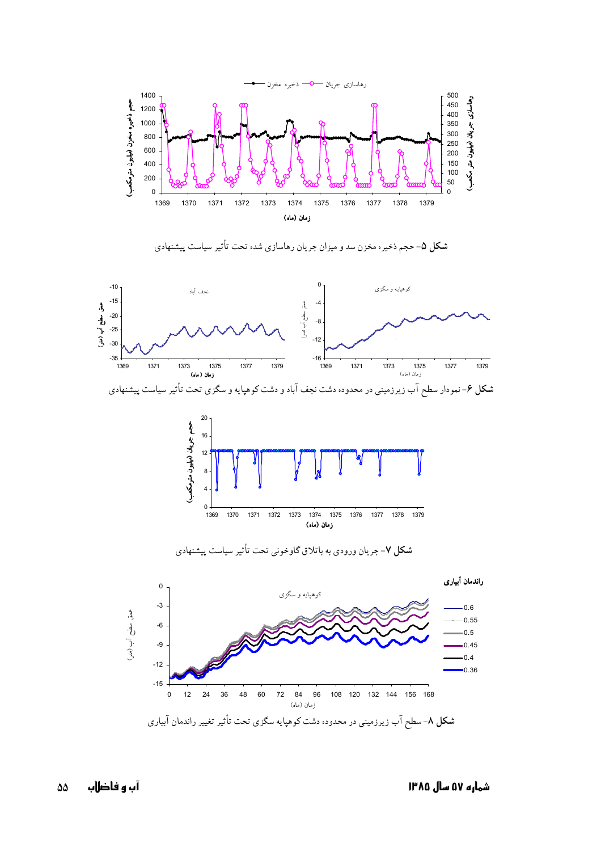

شکل ۵- حجم ذخیره مخزن سد و میزان جریان رهاسازی شده تحت تأثیر سیاست پیشنهادی



20 حجم جريان (ميليون مترمكعب)  $16$  $12$  $\overline{\mathbf{8}}$  $\overline{4}$  $\mathbf 0$  . 1369 1370 1371 1372 1373 1374 1375 1376 1377 1378 1379 زمان (ماه)



شکل ۷- جریان ورودی به باتلاق گاوخونی تحت تأثیر سیاست پیشنهادی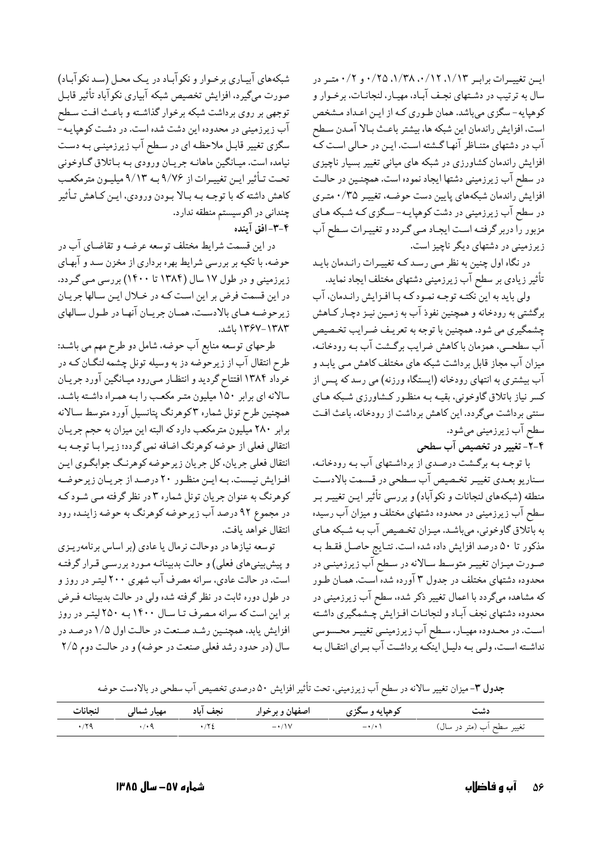ایسن تغییمرات برابمر ۰/۱۲، ۰/۱۲، ۰/۳۸، ۰/۲۵ و ۰/۲ متمر در سال به ترتیب در دشـتهای نجـف آبـاد، مهیـار، لنجانـات، برخـوار و کوهپایه- سگزی میباشد. همان طوری کـه از ایـن اعـداد مـشخص است، افزایش راندمان این شبکه ها، بیشتر باعث بـالا آمـدن سـطح آب در دشتهای متنـاظر آنهـاگـشته اسـت. ایـن در حـالی اسـت کـه افزایش راندمان کشاورزی در شبکه های میانی تغییر بسیار ناچیزی در سطح آب زیرزمینی دشتها ایجاد نموده است. همچنـین در حالـت افزایش راندمان شبکههای پایین دست حوضـه، تغییـر ۰/۳۵ متـری در سطح آب زیرزمینی در دشت کوهپایـه- سـگزی کـه شـبکه هـای مزبور را دربر گرفتـه اسـت ايجـاد مـي گـردد و تغييـرات سـطح آب زیرزمینی در دشتهای دیگر ناچیز است.

در نگاه اول چنین به نظر مـی رسـد کـه تغییـرات رانـدمان بایـد تأثیر زیادی بر سطح آب زیرزمینی دشتهای مختلف ایجاد نماید.

ولی باید به این نکتـه توجـه نمـود کـه بـا افـزایش رانـدمان، آب برگشتی به رودخانه و همچنین نفوذ آب به زمـین نیـز دچـار کـاهش چشمگیري مي شود. همچنين با توجه به تعريـف ضـرايب تخـصيص آب سطحــي، همزمان باكاهش ضرايب برگـشت آب بـه رودخانـه، میزان آب مجاز قابل برداشت شبکه های مختلف کاهش مـی یابـد و آب بیشتری به انتهای رودخانه (ایستگاه ورزنه) می رسد که پــس از کسر نیاز باتلاق گاوخونی، بقیـه بـه منظـور کـشاورزي شـبکه هـاي سنتی برداشت میگردد. این کاهش برداشت از رودخانه، باعث افت سطح آب زیرزمینی می شود.

۴-۲- تغییر در تخصیص آب سطحی

با توجه بـه برگـشت درصـدي از برداشـتهاي آب بـه رودخانـه، سناریو بعـدي تغييـر تخـصيص آب سـطحي در قـسمت بالادسـت منطقه (شبکههای لنجانات و نکوآباد) و بررسی تأثیر ایـن تغییـر بـر سطح آب زیرزمینی در محدوده دشتهای مختلف و میزان آب رسیده به باتلاق گاوخونی، میباشد. میـزان تخـصیص آب بـه شـبکه هـای مذكور تا ۵۰ درصد افزايش داده شده است. نتـايج حاصـل فقـط بـه صـورت میـزان تغییـر متوسـط سـالانه در سـطح آب زیرزمینـی در محدوده دشتهای مختلف در جدول ۳ آورده شده است. همـان طـور که مشاهده میگردد با اعمال تغییر ذکر شده، سطح آب زیرزمینی در محدوده دشتهاي نجف آبـاد و لنجانـات افـزايش چــشمگيري داشـته است. در محـدوده مهيـار، سـطح آب زيرزمينـي تغييـر محـسوسي نداشـته اسـت، ولـي بـه دليـل اينكـه برداشـت آب بـراي انتقـال بـه

شبکههای آبیاری برخـوار و نکوآبـاد در یـک محـل (سـد نکوآبـاد) صورت ميگيرد، افزايش تخصيص شبكه آبياري نكوآباد تأثير قابـل توجهي بر روي برداشت شبكه برخوار گذاشته و باعث افت سطح آب زیرزمینی در محدوده این دشت شده است. در دشـت کوهپایـه-ّ سگزی تغییر قابـل ملاحظـه ای در سـطح آب زیرزمینـی بـه دسـت نیامده است. میـانگین ماهانـه جریـان ورودي بـه بـاتلاق گـاوخوني تحت تـأثير ايـن تغييـرات از ٩/٧۶ بـه ٩/١٣ ميليـون مترمكعـب كاهش داشته كه با توجـه بـه بـالا بـودن ورودي، ايـن كـاهش تـأثير چندانی در اکوسیستم منطقه ندارد. ۴-۳-افق آینده

در این قسمت شرایط مختلف توسعه عرضـه و تقاضـای آب در حوضه، با تکیه بر بررسی شرایط بهره برداری از مخزن سـد و آبهـای زیرزمینی و در طول ۱۷ سال (۱۳۸۴ تا ۱۴۰۰) بررسی می گردد. در این قسمت فرض بر این است کـه در خـلال ایـن سـالها جریـان زيرحوضه هـاي بالادسـت، همـان جريـان آنهـا در طـول سـالهاي ١٣٨٣-١٣۶٧ ياشد.

طرحهای توسعه منابع آب حوضه، شامل دو طرح مهم می باشد: طرح انتقال آب از زیرحوّضه دز به وسیله تونل چشمه لنگـان کــه در خرداد ۱۳۸۴ افتتاح گردید و انتظار مهیرود میـانگین آورد جریـان سالانه ای برابر ۱۵۰ میلیون متـر مکعـب را بـه همـراه داشـته باشـد. همچنین طرح تونل شماره ۳کوهرنگ پتانسیل آورد متوسط سـالانه برابر ۲۸۰ میلیون مترمکعب دارد که البته این میزان به حجم جریان انتقالی فعلی از حوضه کوهرنگ اضافه نمی گردد؛ زیـرا بـا توجـه بـه انتقال فعلي جريان، كل جريان زيرحوضه كوهرنگ جوابگـوي ايـن افزایش نیست. به این منظور ۲۰ درصد از جریان زیرحوضه کوهرنگ به عنوان جریان تونل شماره ۳ در نظر گرفته مـي شـود کـه در مجموع ۹۲ درصد آب زیرحوضه کوهرنگ به حوضه زاینـده رود انتقال خواهد يافت.

توسعه نیازها در دوحالت نرمال یا عادی (بر اساس برنامهریـزی و پیش بینیهای فعلی) و حالت بدبینانـه مـورد بررسـی قـرار گرفتـه است. در حالت عادي، سرانه مصرف آب شهري ۲۰۰ ليتـر در روز و در طول دوره ثابت در نظر گرفته شده ولی در حالت بدبینانـه فـرض بر این است که سرانه مصرف تـا سـال ۱۴۰۰ بـه ۲۵۰ لیتـر در روز افزایش یابد، همچنین رشد صنعت در حالت اول ۱/۵ درصد در سال (در حدود رشد فعلي صنعت در حوضه) و در حالت دوم ٢/٥

جدول ۳- میزان تغییر سالانه در سطح آب زیرزمینی، تحت تأثیر افزایش ۵۰ درصدی تخصیص آب سطحی در بالادست حوضه

|     |                                                                                                                                                                                                                                                                                                                               |                   |                      | دشت                        |
|-----|-------------------------------------------------------------------------------------------------------------------------------------------------------------------------------------------------------------------------------------------------------------------------------------------------------------------------------|-------------------|----------------------|----------------------------|
| .79 | $\cdot$ / $\cdot$ / $\cdot$ / $\cdot$ / $\cdot$ / $\cdot$ / $\cdot$ / $\cdot$ / $\cdot$ / $\cdot$ / $\cdot$ / $\cdot$ / $\cdot$ / $\cdot$ / $\cdot$ / $\cdot$ / $\cdot$ / $\cdot$ / $\cdot$ / $\cdot$ / $\cdot$ / $\cdot$ / $\cdot$ / $\cdot$ / $\cdot$ / $\cdot$ / $\cdot$ / $\cdot$ / $\cdot$ / $\cdot$ / $\cdot$ / $\cdot$ | $-\cdot/1$ $\vee$ | $-\cdot$ / $\cdot$ \ | تغییر سطح اَب (متر در سال) |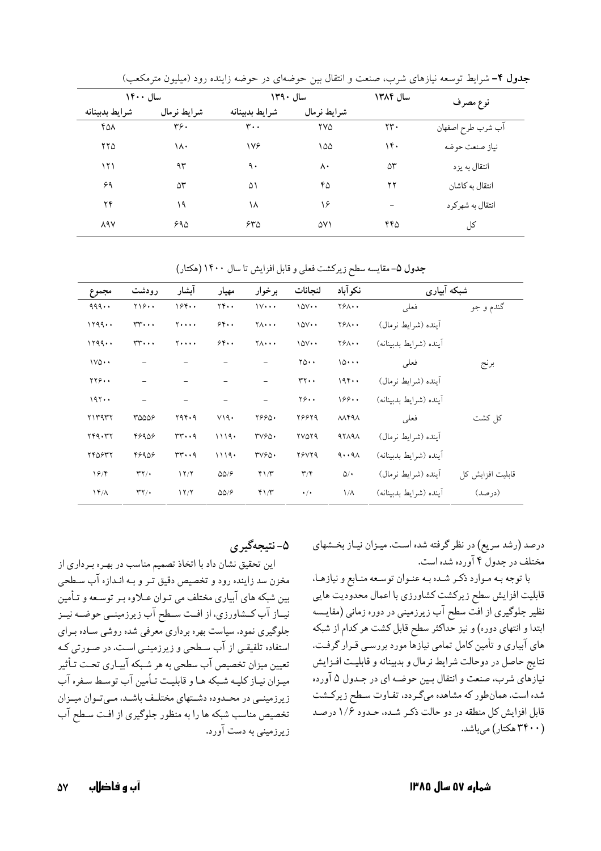| سال ۱۴۰۰       |             | سال ١٣٩٠                 |             | سال ۱۳۸۴       | نوع مصرف          |
|----------------|-------------|--------------------------|-------------|----------------|-------------------|
| شرايط بدبينانه | شرايط نرمال | شرايط بدبينانه           | شرايط نرمال |                |                   |
| ۴۵۸            | ۳۶.         | $\mathbf{r} \cdot \cdot$ | ۲۷۵         | $\mathbf{y}$ . | آب شرب طرح اصفهان |
| ۲۲۵            | ۱۸۰         | ۱۷۶                      | ۱۵۵         | ۱۴۰            | نياز صنعت حوضه    |
| ۱۲۱            | ۹۳          | ٩.                       | ۸۰          | ۵٣             | انتقال به يزد     |
| ۶۹             | ۵٣          | ۵۱                       | ۴۵          | ۲۲             | انتقال به کاشان   |
| ۲۴             | ۱۹          | ۱۸                       | ۱۶          |                | انتقال به شهركرد  |
| <b>ARY</b>     | ۶۹۵         | ۶۳۵                      | ۵۷۱         | ۴۴۵            | کل                |

جدول ۴- شرایط توسعه نیازهای شرب، صنعت و انتقال بین حوضهای در حوضه زاینده رود (میلیون مترمکعب)

جدول ۵- مقايسه سطح زيركشت فعلى و قابل افزايش تا سال ۱۴۰۰ (هكتار)

| مجموع             | رودشت                              | آبشار                       | مهيار                  | برخوار                       | لنجانات                 | نكوآباد                       | شبکه آبیاری            |                  |
|-------------------|------------------------------------|-----------------------------|------------------------|------------------------------|-------------------------|-------------------------------|------------------------|------------------|
| 999               | $Y \rightarrow 0$                  | 194.                        | $YY \cdot \cdot$       | $1V \cdots$                  | $10V \cdot \cdot$       | $Y^{\varphi}\wedge\cdot\cdot$ | فعلبى                  | گندم و جو        |
| 1199              | $rr \cdots$                        | $Y \cdot \cdot \cdot \cdot$ | 5.6                    | $Y \wedge \cdot \cdot \cdot$ | $10V \cdot \cdot$       | $Y^{\varphi}\wedge\cdot\cdot$ | اً ينده (شرايط نرمال)  |                  |
| 1199              | $rr \cdots$                        | $Y \cdot \cdot \cdot \cdot$ | 5.6                    | $Y \wedge \cdot \cdot \cdot$ | $10V \cdot \cdot$       | $Y^{\varphi}\wedge\cdot\cdot$ | أينده (شرايط بدبينانه) |                  |
| $1VQ \cdot \cdot$ |                                    |                             |                        |                              | $\gamma_0 \cdots$       | 10                            | فعلبى                  | برنج             |
| YY9.              |                                    |                             |                        |                              | $rr \cdot \cdot$        | 194                           | آينده (شرايط نرمال)    |                  |
| 197               |                                    |                             |                        |                              | $Y\hat{z}$ .            | 199                           | أينده (شرايط بدبينانه) |                  |
| Y1Y9YY            | 30009                              | ۲۹۴۰۹                       | V19.                   | 7990.                        | 28829                   | $\lambda\lambda$ ۴۹ $\lambda$ | فعلى                   | كل كشت           |
| 749.47            | 48908                              | $rr \cdot q$                | 1119.                  | TVPQ.                        | <b>TVOT9</b>            | 97191                         | آينده (شرايط نرمال)    |                  |
| 740847            | 48908                              | $rr \cdot q$                | 1119.                  | TVPQ.                        | <b>78VY9</b>            | 9.191                         | أينده (شرايط بدبينانه) |                  |
| 19/               | $\mathsf{r}\mathsf{y}\mathsf{y}$ . | 17/7                        | $\Delta\Delta/\hat{r}$ | 41/T                         | $\mathbf{r}/\mathbf{r}$ | $\Delta/$                     | أينده (شرايط نرمال)    | قابلیت افزایش کل |
| $\frac{14}{\pi}$  | $\mathsf{r}\mathsf{y}\mathsf{y}$ . | 17/7                        | $\Delta\Delta/\hat{r}$ | 41/7                         | $\cdot/$                | $1/\Lambda$                   | أينده (شرايط بدبينانه) | (در صد)          |

درصد (رشد سریع) در نظر گرفته شده است. میـزان نیـاز بخـشهای مختلف در جدول ۴ آورده شده است.

با توجه بـه مـوارد ذكـر شـده بـه عنـوان توسـعه منـابع و نيازهـا، قابلیت افزایش سطح زیرکشت کشاورزی با اعمال محدودیت هایی نظیر جلوگیری از افت سطح آب زیرزمینی در دوره زمانی (مقایسه ابتدا و انتهای دوره) و نیز حداکثر سطح قابل کشت هر کدام از شبکه های آبیاری و تأمین کامل تمامی نیازها مورد بررسـی قـرار گرفـت. نتایج حاصل در دوحالت شرایط نرمال و بدبینانه و قابلیت افـزایش نیازهای شرب، صنعت و انتقال بـین حوضـه ای در جـدول ۵ آورده شده است. همانطور که مشاهده میگردد، تفـاوت سـطح زیرکـشت قابل افزایش کل منطقه در دو حالت ذکر شده، حدود ۱/۶ درصد (۳۴۰۰ هکتار) میباشد.

# ۵- نتيجهگير ي

این تحقیق نشان داد با اتخاذ تصمیم مناسب در بهـره بـرداری از مخزن سد زاینده رود و تخصیص دقیق تـر و بـه انـدازه آب سـطحی بین شبکه های آبیاری مختلف می تـوان عـلاوه بـر توسـعه و تـأمین نیـاز آب کــشاورزي، از افــت ســطح آب زيرزمينــي حوضــه نيــز جلوگیری نمود. سیاست بهره برداری معرفی شده روشی سـاده بـرای استفاده تلفیقی از آب سطحی و زیرزمینـی اسـت. در صـورتی کـه تعیین میزان تخصیص آب سطحی به هر شـبکه آبیـاری تحـت تـأثیر میزان نیاز کلیـه شـبکه هـا و قابلیـت تـأمین آب توسـط سـفره آب زیرزمینـی در محـدوده دشـتهای مختلـف باشـد، مـیتـوان میـزان تخصیص مناسب شبکه ها را به منظور جلوگیری از افت سطح آب زیرزمینی به دست آورد.